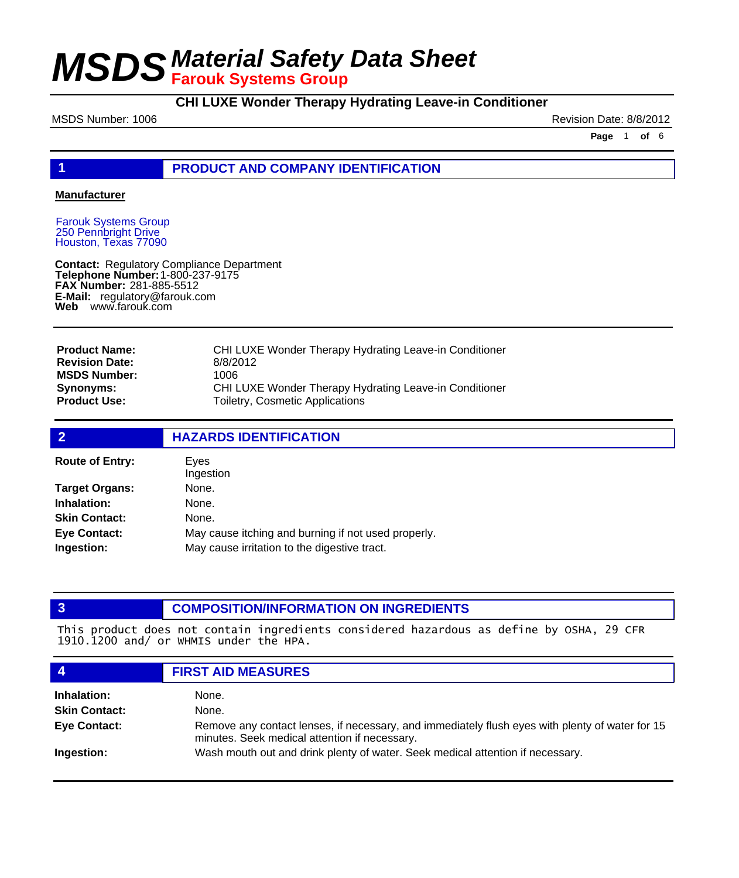### **CHI LUXE Wonder Therapy Hydrating Leave-in Conditioner**

MSDS Number: 1006 **Revision Date: 8/8/2012** 

**Page** 1 **of** 6

### **1 PRODUCT AND COMPANY IDENTIFICATION**

#### **Manufacturer**

Farouk Systems Group 250 Pennbright Drive Houston, Texas 77090

**Contact: Telephone Number: FAX Number:** 281-885-5512 **E-Mail:** regulatory@farouk.com **Web** www.farouk.com Regulatory Compliance Department 1-800-237-9175

| <b>Product Name:</b>  | CHI LUXE Wonder Therapy Hydrating Leave-in Conditioner        |
|-----------------------|---------------------------------------------------------------|
| <b>Revision Date:</b> | 8/8/2012                                                      |
| <b>MSDS Number:</b>   | 1006                                                          |
| <b>Synonyms:</b>      | <b>CHI LUXE Wonder Therapy Hydrating Leave-in Conditioner</b> |
| <b>Product Use:</b>   | Toiletry, Cosmetic Applications                               |

| $\overline{2}$         | <b>HAZARDS IDENTIFICATION</b>                       |  |  |
|------------------------|-----------------------------------------------------|--|--|
| <b>Route of Entry:</b> | Eves<br>Ingestion                                   |  |  |
| <b>Target Organs:</b>  | None.                                               |  |  |
| Inhalation:            | None.                                               |  |  |
| <b>Skin Contact:</b>   | None.                                               |  |  |
| <b>Eye Contact:</b>    | May cause itching and burning if not used properly. |  |  |
| Ingestion:             | May cause irritation to the digestive tract.        |  |  |

#### **3 COMPOSITION/INFORMATION ON INGREDIENTS**

This product does not contain ingredients considered hazardous as define by OSHA, 29 CFR 1910.1200 and/ or WHMIS under the HPA.

|                      | <b>FIRST AID MEASURES</b>                                                                                                                        |
|----------------------|--------------------------------------------------------------------------------------------------------------------------------------------------|
| Inhalation:          | None.                                                                                                                                            |
| <b>Skin Contact:</b> | None.                                                                                                                                            |
| <b>Eye Contact:</b>  | Remove any contact lenses, if necessary, and immediately flush eyes with plenty of water for 15<br>minutes. Seek medical attention if necessary. |
| Ingestion:           | Wash mouth out and drink plenty of water. Seek medical attention if necessary.                                                                   |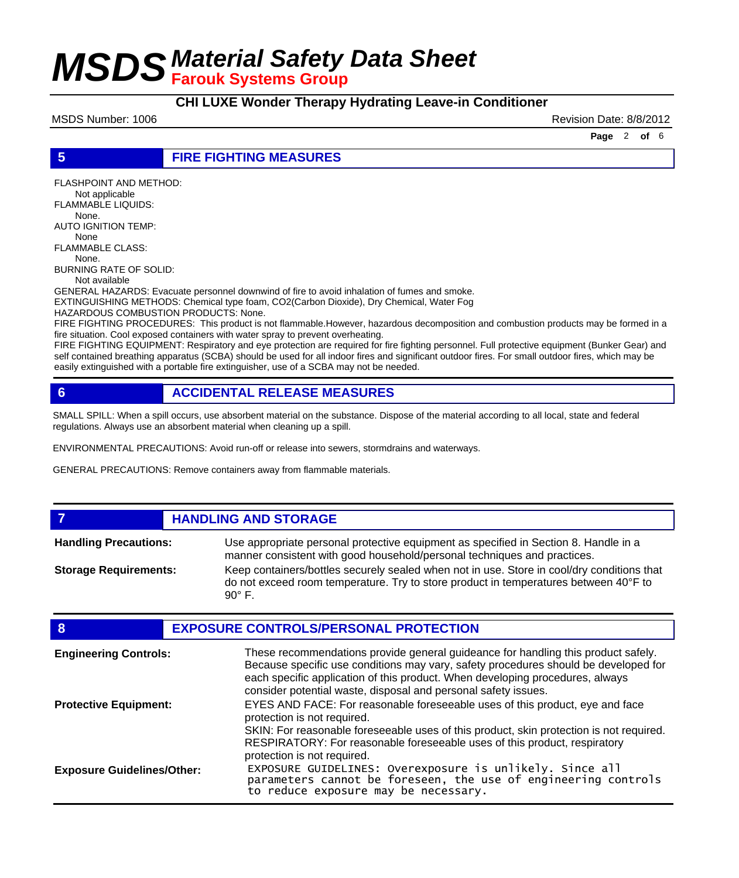**CHI LUXE Wonder Therapy Hydrating Leave-in Conditioner**

MSDS Number: 1006 **Revision Date: 8/8/2012** Revision Date: 8/8/2012

**Page** 2 **of** 6

**5 FIRE FIGHTING MEASURES**

FLASHPOINT AND METHOD: Not applicable FLAMMABLE LIQUIDS: None. AUTO IGNITION TEMP: None FLAMMABLE CLASS: None. BURNING RATE OF SOLID:

Not available

GENERAL HAZARDS: Evacuate personnel downwind of fire to avoid inhalation of fumes and smoke.

EXTINGUISHING METHODS: Chemical type foam, CO2(Carbon Dioxide), Dry Chemical, Water Fog

HAZARDOUS COMBUSTION PRODUCTS: None.

FIRE FIGHTING PROCEDURES: This product is not flammable.However, hazardous decomposition and combustion products may be formed in a fire situation. Cool exposed containers with water spray to prevent overheating.

FIRE FIGHTING EQUIPMENT: Respiratory and eye protection are required for fire fighting personnel. Full protective equipment (Bunker Gear) and self contained breathing apparatus (SCBA) should be used for all indoor fires and significant outdoor fires. For small outdoor fires, which may be easily extinguished with a portable fire extinguisher, use of a SCBA may not be needed.

#### **6 ACCIDENTAL RELEASE MEASURES**

SMALL SPILL: When a spill occurs, use absorbent material on the substance. Dispose of the material according to all local, state and federal regulations. Always use an absorbent material when cleaning up a spill.

ENVIRONMENTAL PRECAUTIONS: Avoid run-off or release into sewers, stormdrains and waterways.

GENERAL PRECAUTIONS: Remove containers away from flammable materials.

**7 HANDLING AND STORAGE**

Use appropriate personal protective equipment as specified in Section 8. Handle in a manner consistent with good household/personal techniques and practices. **Handling Precautions:** Keep containers/bottles securely sealed when not in use. Store in cool/dry conditions that do not exceed room temperature. Try to store product in temperatures between 40°F to 90° F. **Storage Requirements:**

| 8                                 | <b>EXPOSURE CONTROLS/PERSONAL PROTECTION</b>                                                                                                                                                                                                                                                                                |
|-----------------------------------|-----------------------------------------------------------------------------------------------------------------------------------------------------------------------------------------------------------------------------------------------------------------------------------------------------------------------------|
| <b>Engineering Controls:</b>      | These recommendations provide general guideance for handling this product safely.<br>Because specific use conditions may vary, safety procedures should be developed for<br>each specific application of this product. When developing procedures, always<br>consider potential waste, disposal and personal safety issues. |
| <b>Protective Equipment:</b>      | EYES AND FACE: For reasonable foreseeable uses of this product, eye and face<br>protection is not required.<br>SKIN: For reasonable foreseeable uses of this product, skin protection is not required.<br>RESPIRATORY: For reasonable foreseeable uses of this product, respiratory<br>protection is not required.          |
| <b>Exposure Guidelines/Other:</b> | EXPOSURE GUIDELINES: Overexposure is unlikely. Since all<br>parameters cannot be foreseen, the use of engineering controls<br>to reduce exposure may be necessary.                                                                                                                                                          |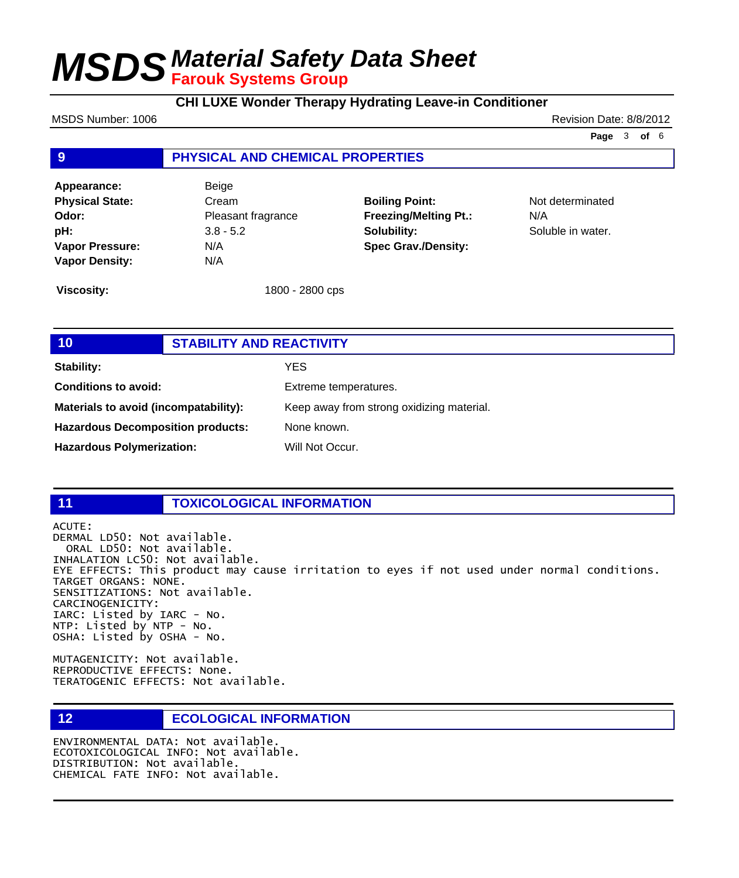**CHI LUXE Wonder Therapy Hydrating Leave-in Conditioner**

MSDS Number: 1006 **Revision Date: 8/8/2012** Revision Date: 8/8/2012

**Page** 3 **of** 6

### **9 PHYSICAL AND CHEMICAL PROPERTIES**

**Appearance:** Beige **Physical State:** Cream **Odor:** Pleasant fragrance **pH:** 3.8 - 5.2 **Vapor Pressure:** N/A **Vapor Density:** N/A

**Boiling Point:** Not determinated **Freezing/Melting Pt.:** N/A **Solubility:** Soluble in water. **Spec Grav./Density:**

**Viscosity:** 1800 - 2800 cps

| 10                                       | <b>STABILITY AND REACTIVITY</b> |                                           |
|------------------------------------------|---------------------------------|-------------------------------------------|
| <b>Stability:</b>                        |                                 | YES.                                      |
| <b>Conditions to avoid:</b>              |                                 | Extreme temperatures.                     |
| Materials to avoid (incompatability):    |                                 | Keep away from strong oxidizing material. |
| <b>Hazardous Decomposition products:</b> |                                 | None known.                               |
| <b>Hazardous Polymerization:</b>         |                                 | Will Not Occur.                           |

### **11 TOXICOLOGICAL INFORMATION**

ACUTE: DERMAL LD50: Not available. ORAL LD50: Not available. INHALATION LC50: Not available. EYE EFFECTS: This product may cause irritation to eyes if not used under normal conditions. TARGET ORGANS: NONE. SENSITIZATIONS: Not available. CARCINOGENICITY: IARC: Listed by IARC - No. NTP: Listed by NTP - No. OSHA: Listed by OSHA - No.

MUTAGENICITY: Not available. REPRODUCTIVE EFFECTS: None. TERATOGENIC EFFECTS: Not available.

**12 ECOLOGICAL INFORMATION** 

ENVIRONMENTAL DATA: Not available. ECOTOXICOLOGICAL INFO: Not available. DISTRIBUTION: Not available. CHEMICAL FATE INFO: Not available.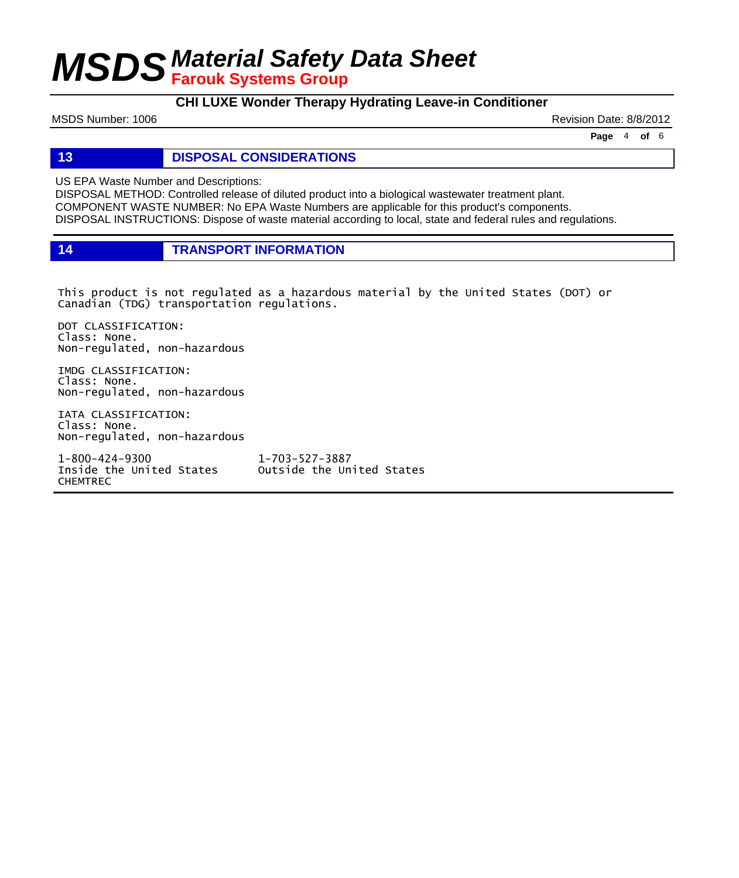### **CHI LUXE Wonder Therapy Hydrating Leave-in Conditioner**

MSDS Number: 1006 **Revision Date: 8/8/2012** Revision Date: 8/8/2012

**Page** 4 **of** 6

### **13 DISPOSAL CONSIDERATIONS**

US EPA Waste Number and Descriptions:

DISPOSAL METHOD: Controlled release of diluted product into a biological wastewater treatment plant. COMPONENT WASTE NUMBER: No EPA Waste Numbers are applicable for this product's components. DISPOSAL INSTRUCTIONS: Dispose of waste material according to local, state and federal rules and regulations.

**14 TRANSPORT INFORMATION**

This product is not regulated as a hazardous material by the United States (DOT) or Canadian (TDG) transportation regulations.

DOT CLASSIFICATION: Class: None. Non-regulated, non-hazardous

IMDG CLASSIFICATION: Class: None. Non-regulated, non-hazardous

IATA CLASSIFICATION: Class: None. Non-regulated, non-hazardous

1-800-424-9300 1-703-527-3887 CHEMTREC

Outside the United States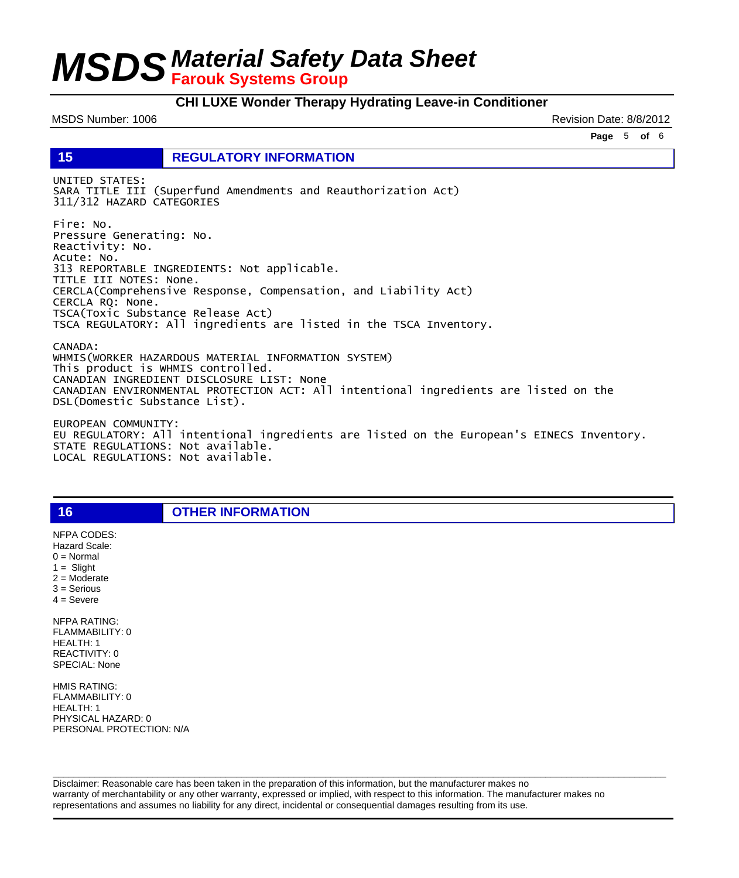#### **CHI LUXE Wonder Therapy Hydrating Leave-in Conditioner**

MSDS Number: 1006 **Revision Date: 8/8/2012** Revision Date: 8/8/2012

**Page** 5 **of** 6

**15 REGULATORY INFORMATION**

UNITED STATES: SARA TITLE III (Superfund Amendments and Reauthorization Act) 311/312 HAZARD CATEGORIES

Fire: No. Pressure Generating: No. Reactivity: No. Acute: No. 313 REPORTABLE INGREDIENTS: Not applicable. TITLE III NOTES: None. CERCLA(Comprehensive Response, Compensation, and Liability Act) CERCLA RQ: None. TSCA(Toxic Substance Release Act) TSCA REGULATORY: All ingredients are listed in the TSCA Inventory.

CANADA: WHMIS(WORKER HAZARDOUS MATERIAL INFORMATION SYSTEM) This product is WHMIS controlled. CANADIAN INGREDIENT DISCLOSURE LIST: None CANADIAN ENVIRONMENTAL PROTECTION ACT: All intentional ingredients are listed on the DSL(Domestic Substance List).

EUROPEAN COMMUNITY: EU REGULATORY: All intentional ingredients are listed on the European's EINECS Inventory. STATE REGULATIONS: Not available. LOCAL REGULATIONS: Not available.

**16 OTHER INFORMATION**

 $1 =$  Slight 2 = Moderate 3 = Serious  $4 =$  Severe NFPA RATING: FLAMMABILITY: 0 HEALTH: 1 REACTIVITY: 0 SPECIAL: None

NFPA CODES: Hazard Scale:  $0 =$  Normal

HMIS RATING: FLAMMABILITY: 0 HEALTH: 1 PHYSICAL HAZARD: 0 PERSONAL PROTECTION: N/A

Disclaimer: Reasonable care has been taken in the preparation of this information, but the manufacturer makes no warranty of merchantability or any other warranty, expressed or implied, with respect to this information. The manufacturer makes no representations and assumes no liability for any direct, incidental or consequential damages resulting from its use.

 $\Box$  . The contribution of the contribution of the contribution of the contribution of the contribution of the contribution of the contribution of the contribution of the contribution of the contribution of the contributi